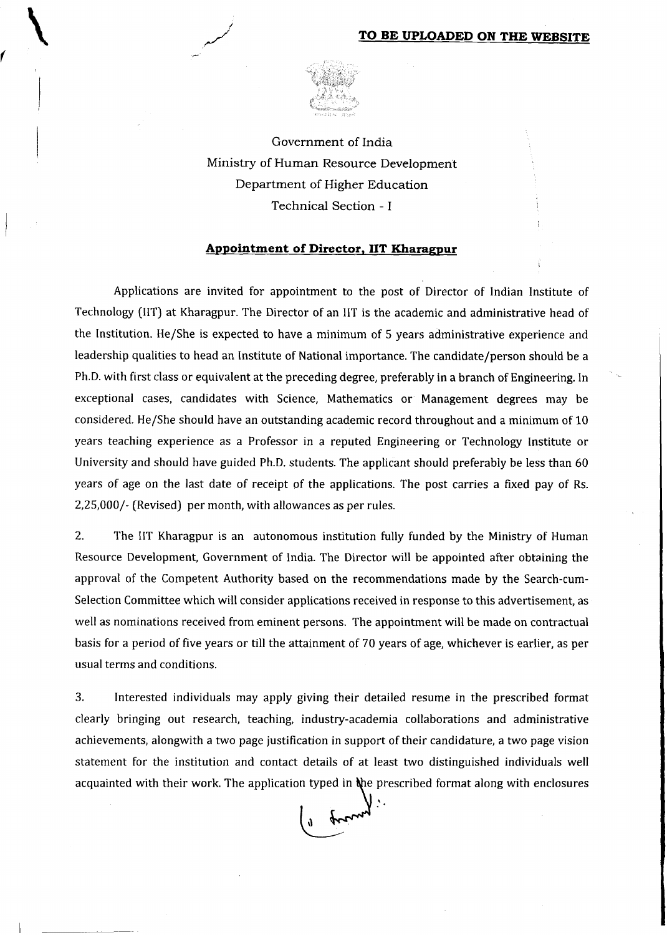

Government of India Ministry of Human Resource Development Department of Higher Education Technical Section - 1

### Appointment of Director, IIT Kharagpur

Applications are invited for appointment to the post of Director of Indian Institute of Technology (IIT) at Kharagpur. The Director of an IIT is the academic and administrative head of the Institution. He/She is expected to have a minimum of 5 years administrative experience and leadership qualities to head an Institute of National importance. The candidate/person should be a Ph.D. with first class or equivalent at the preceding degree, preferably in a branch of Engineering. In exceptional cases, candidates with Science, Mathematics or Management degrees may be considered. He/She should have an outstanding academic record throughout and a minimum of 10 years teaching experience as a Professor in a reputed Engineering or Technology Institute or University and should have guided Ph.D. students. The applicant should preferably be less than 60 years of age on the last date of receipt of the applications. The post carries a fixed pay of Rs. 2,25,000/- (Revised) per month, with allowances as per rules.

2. The IIT Kharagpur is an autonomous institution fully funded by the Ministry of Human Resource Development, Government of India. The Director will be appointed after obtaining the approval of the Competent Authority based on the recommendations made by the Search-cum-Selection Committee which will consider applications received in response to this advertisement, as well as nominations received from eminent persons. The appointment will be made on contractual basis for a period of five years or till the attainment of 70 years of age, whichever is earlier, as per usual terms and conditions.

3. Interested individuals may apply giving their detailed resume in the prescribed format clearly bringing out research, teaching, industry-academia collaborations and administrative achievements, alongwith a two page justification in support of their candidature, a two page vision statement for the institution and contact details of at least two distinguished individuals well acquainted with their work. The application typed in the prescribed format along with enclosures

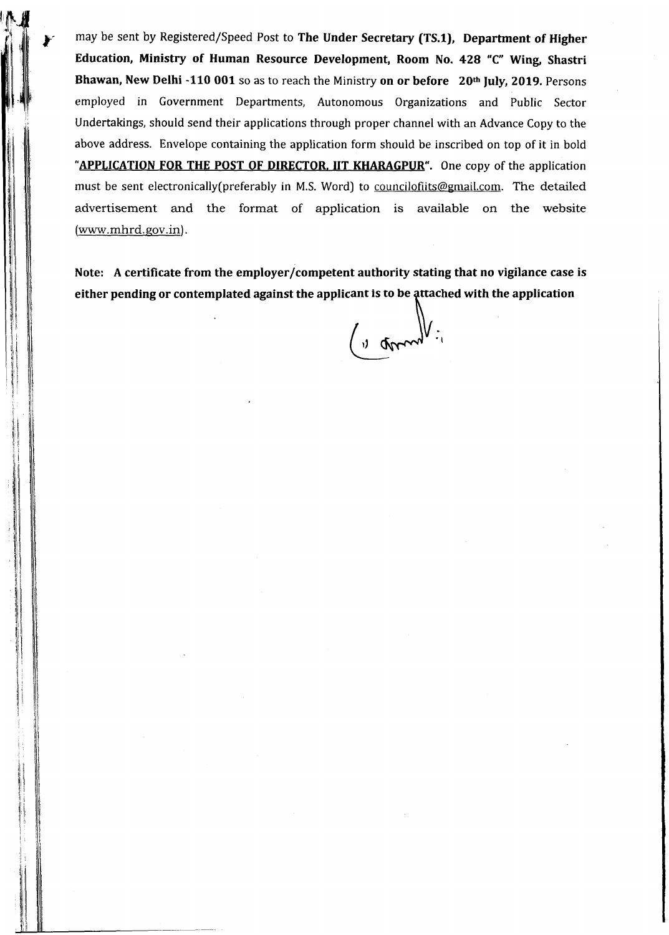may be sent by Registered/Speed Post to **The Under Secretary (TS.l), Department of Higher Education, Ministry of Human Resource Development, Room No. 428 "C" Wing, Shastri Bhawan, New Delhi -110 001** so as to reach the Ministry **on or before 20th July, 2019.** Persons employed in Government Departments, Autonomous Organizations and Public Sector Undertakings, should send their applications through proper channel with an Advance Copy to the above address. Envelope containing the application form should be inscribed on top of it in bold **"APPLICATION FOR THE POST OF DIRECTOR. IIT KHARAGPUR".** One copy of the application must be sent electronically(preferably in M.S. Word) to [councilofiits@gmail.com](mailto:councilofiits@gmail.com). The detailed advertisement and the format of application is available on the website  $(www.mhrd.gov.in).$ 

**Note: A certificate from the employer/competent authority stating that no vigilance case is** either pending or contemplated against the applicant is to be attached with the application

( " games ")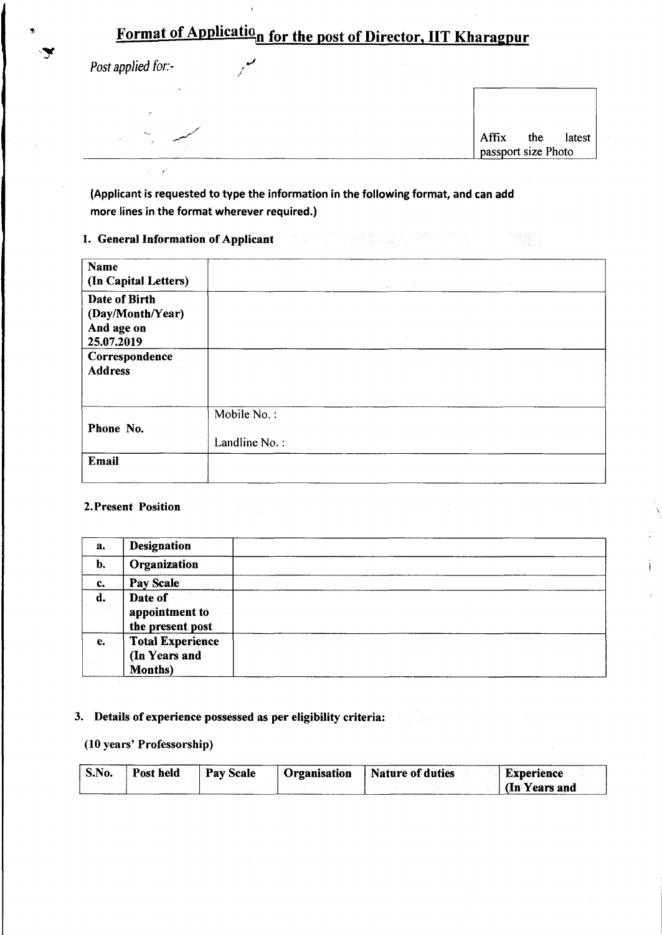# Format of Applicatio<sub>n</sub> for the post of Director, IIT Kharagpur

*Post applied for:-*

| - 19                  |                                         |
|-----------------------|-----------------------------------------|
|                       |                                         |
| <b>PAGE</b><br>$\sim$ | Affix the latest<br>passport size Photo |
|                       |                                         |

"来国学业国内"

**(Applicant is requested to type the information in the following format, and can add more lines in the format wherever required.)**

**1. General Information of Applicant**

| <b>Name</b><br>(In Capital Letters)                           | $\Delta \sim 10^{11}$ MeV |  |
|---------------------------------------------------------------|---------------------------|--|
| Date of Birth<br>(Day/Month/Year)<br>And age on<br>25.07.2019 |                           |  |
| Correspondence<br><b>Address</b>                              |                           |  |
| Phone No.                                                     | Mobile No.:               |  |
|                                                               | Landline No.:             |  |
| Email                                                         |                           |  |

### **2.Present Position**

| a. | <b>Designation</b>                                  |  |
|----|-----------------------------------------------------|--|
| b. | Organization                                        |  |
| c. | Pay Scale                                           |  |
| d. | Date of<br>appointment to<br>the present post       |  |
| е. | <b>Total Experience</b><br>(In Years and<br>Months) |  |

### **3. Details of experience possessed as per eligibility criteria:**

### **(10 years' Professorship)**

| S.No. | Post held | Pay Scale | <b>Organisation</b> | <b>Nature of duties</b> | <b>Experience</b> |
|-------|-----------|-----------|---------------------|-------------------------|-------------------|
|       |           |           |                     |                         | (In Years and     |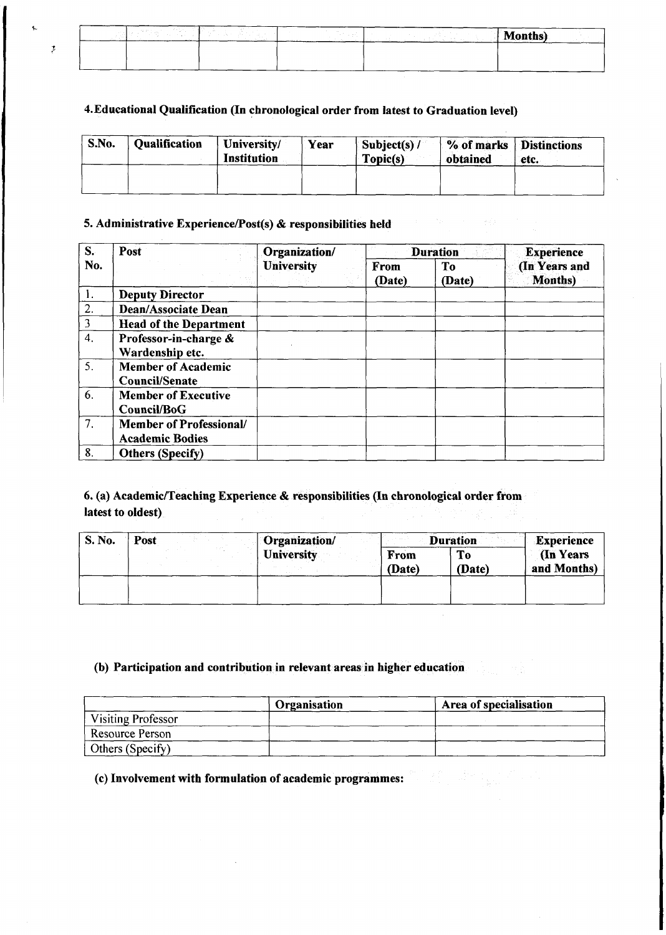| <b>San Francis</b><br><b>STATE STATE</b><br><b>Section</b> | $\sim$ | AÆ.<br>la se della ci<br>лцэгэ |
|------------------------------------------------------------|--------|--------------------------------|
|                                                            |        |                                |
|                                                            |        |                                |

### **4.Educational Qualification (In chronological order from latest to Graduation level)**

| S.No. | <b>Qualification</b> | University/<br><b>Institution</b> | Year | Subject(s) $/$<br>Topic(s) | % of marks   Distinctions<br>obtained | etc. |
|-------|----------------------|-----------------------------------|------|----------------------------|---------------------------------------|------|
|       |                      |                                   |      |                            |                                       |      |

### **5. Administrative Experience/Post(s) & responsibilities held**

 $\bar{z}$ 

| $S_{\bullet}$    | Post                                                     | Organization/     |                | <b>Duration</b> | <b>Experience</b>                |
|------------------|----------------------------------------------------------|-------------------|----------------|-----------------|----------------------------------|
| No.              |                                                          | <b>University</b> | From<br>(Date) | To<br>(Date)    | (In Years and<br><b>Months</b> ) |
| 1.               | <b>Deputy Director</b>                                   |                   |                |                 |                                  |
| 2.               | <b>Dean/Associate Dean</b>                               |                   |                |                 |                                  |
| 3                | <b>Head of the Department</b>                            |                   |                |                 |                                  |
| $\overline{4}$ . | Professor-in-charge &<br>Wardenship etc.                 |                   |                |                 |                                  |
| 5.               | <b>Member of Academic</b><br>Council/Senate              |                   |                |                 |                                  |
| 6.               | <b>Member of Executive</b><br>Council/BoG                |                   |                |                 |                                  |
| 7.               | <b>Member of Professional/</b><br><b>Academic Bodies</b> |                   |                |                 |                                  |
| 8.               | <b>Others (Specify)</b>                                  |                   |                |                 |                                  |

### **6. (a) Academic/Teaching Experience & responsibilities (In chronological order from latest to oldest)**

| S. No. | Post | Organization/ |                | <b>Duration</b> | <b>Experience</b>              |
|--------|------|---------------|----------------|-----------------|--------------------------------|
|        |      | University    | From<br>(Date) | To<br>(Date)    | <b>In Years</b><br>and Months) |
|        |      |               |                |                 |                                |

### **(b) Participation and contribution in relevant areas in higher education**

|                    | Organisation | Area of specialisation |
|--------------------|--------------|------------------------|
| Visiting Professor |              |                        |
| Resource Person    |              |                        |
| Others (Specify)   |              |                        |

# **(c) Involvement with formulation of academic programmes:**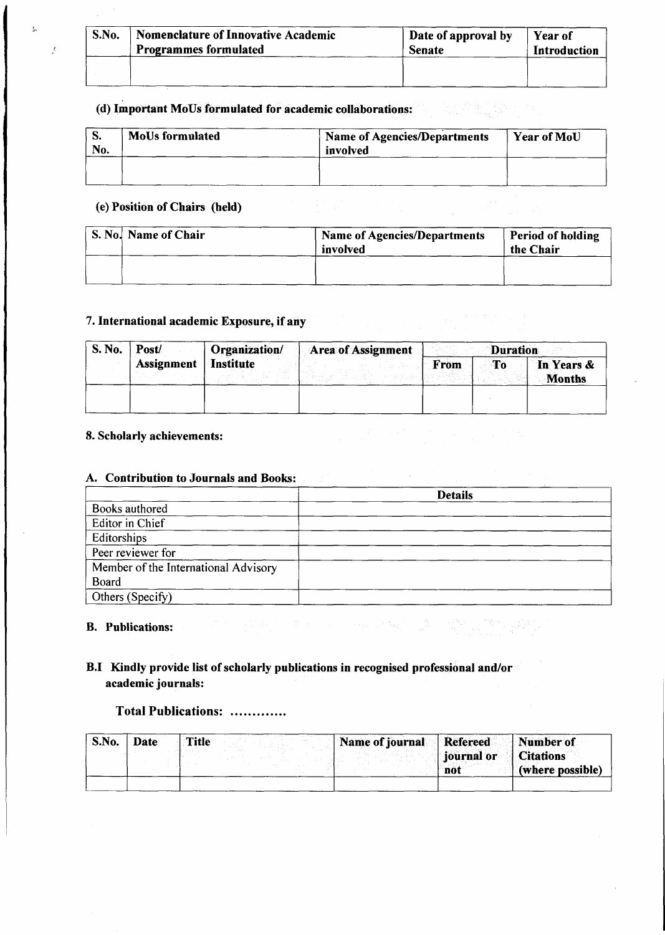| S.No. | Nomenclature of Innovative Academic | Date of approval by | Year of      |
|-------|-------------------------------------|---------------------|--------------|
|       | <b>Programmes formulated</b>        | <b>Senate</b>       | Introduction |
|       |                                     |                     |              |

# **(d) Important MoUs formulated for academic collaborations:**

| o.<br>No. | <b>MoUs formulated</b> | <b>Name of Agencies/Departments</b><br>involved | Year of MoU |
|-----------|------------------------|-------------------------------------------------|-------------|
|           |                        |                                                 |             |

### **(e) Position of Chairs (held)**

 $\overline{t}$ 

|<br>|<br>|

| S. No.   Name of Chair |  | <b>Name of Agencies/Departments</b><br>involved | <b>Period of holding</b><br>the Chair |
|------------------------|--|-------------------------------------------------|---------------------------------------|
|                        |  |                                                 |                                       |

### **7. International academic Exposure, if any**

| S. No. | Post/             | Organization/    | <b>Area of Assignment</b> | <b>Duration</b> |    |                             |
|--------|-------------------|------------------|---------------------------|-----------------|----|-----------------------------|
|        | <b>Assignment</b> | <b>Institute</b> |                           | From            | To | In Years &<br><b>Months</b> |
|        |                   |                  |                           |                 |    |                             |

### **8. Scholarly achievements:**

### **A. Contribution to Journals and Books:**

|                                      | <b>Details</b> |
|--------------------------------------|----------------|
| Books authored                       |                |
| Editor in Chief                      |                |
| Editorships                          |                |
| Peer reviewer for                    |                |
| Member of the International Advisory |                |
| Board                                |                |
| Others (Specify)                     |                |

### **B. Publications:**

# **B.I Kindly provide list of scholarly publications in recognised professional and/or academic journals:**

### **Total Publications: ..................**

| S.No. | Date | <b>Title</b> | Name of journal Refereed Number of |                         |                  |
|-------|------|--------------|------------------------------------|-------------------------|------------------|
|       |      |              |                                    | journal or    Citations |                  |
|       |      |              |                                    | not                     | (where possible) |
|       |      |              |                                    |                         |                  |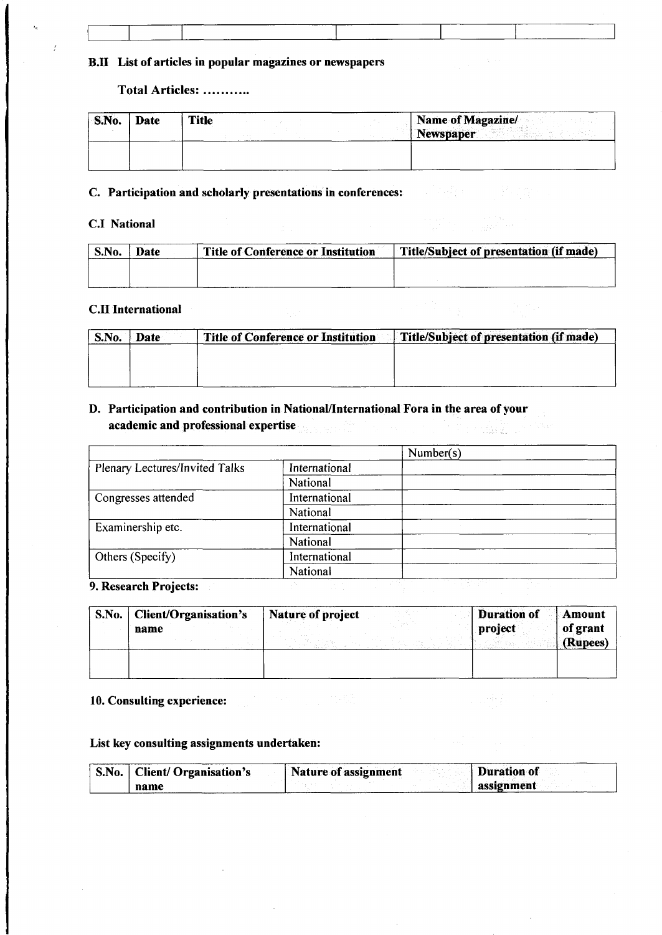### **B.II List of articles in popular magazines or newspapers**

**Total Articles:**

| $^{\circ}$ S.No. | Date | <b>Title</b> | <b>Name of Magazine/</b><br><b>Newspaper</b> |
|------------------|------|--------------|----------------------------------------------|
|                  |      |              |                                              |

### **C. Participation and scholarly presentations in conferences:**

### **C.I National**

| S.No. | <b>Date</b> | <b>Title of Conference or Institution</b> | Title/Subject of presentation (if made) |
|-------|-------------|-------------------------------------------|-----------------------------------------|
|       |             |                                           |                                         |
|       |             |                                           |                                         |

### **C.II International**

| S.No. | Date | <b>Title of Conference or Institution</b> | Title/Subject of presentation (if made) |
|-------|------|-------------------------------------------|-----------------------------------------|
|       |      |                                           |                                         |
|       |      |                                           |                                         |
|       |      |                                           |                                         |

### **D. Participation and contribution in National/International Fora in the area of your academic and professional expertise CONSTRUCT**

|                                       |               | Number(s) |
|---------------------------------------|---------------|-----------|
| <b>Plenary Lectures/Invited Talks</b> | International |           |
|                                       | National      |           |
| Congresses attended                   | International |           |
|                                       | National      |           |
| Examinership etc.                     | International |           |
|                                       | National      |           |
| Others (Specify)                      | International |           |
|                                       | National      |           |
| <b>9 Research Projects:</b>           |               |           |

**9. Research Projects:**

| S.No. | <b>Client/Organisation's</b> | Nature of project | <b>Duration of</b><br>Amount    |
|-------|------------------------------|-------------------|---------------------------------|
|       | name                         |                   | of grant<br>project<br>(Rupees) |
|       |                              |                   |                                 |

### **10. Consulting experience:**

### **List key consulting assignments undertaken:**

| <b>S.No.</b> | Client/ Organisation's | Nature of assignment<br><b>Duration of</b> |
|--------------|------------------------|--------------------------------------------|
|              | name                   | assignment                                 |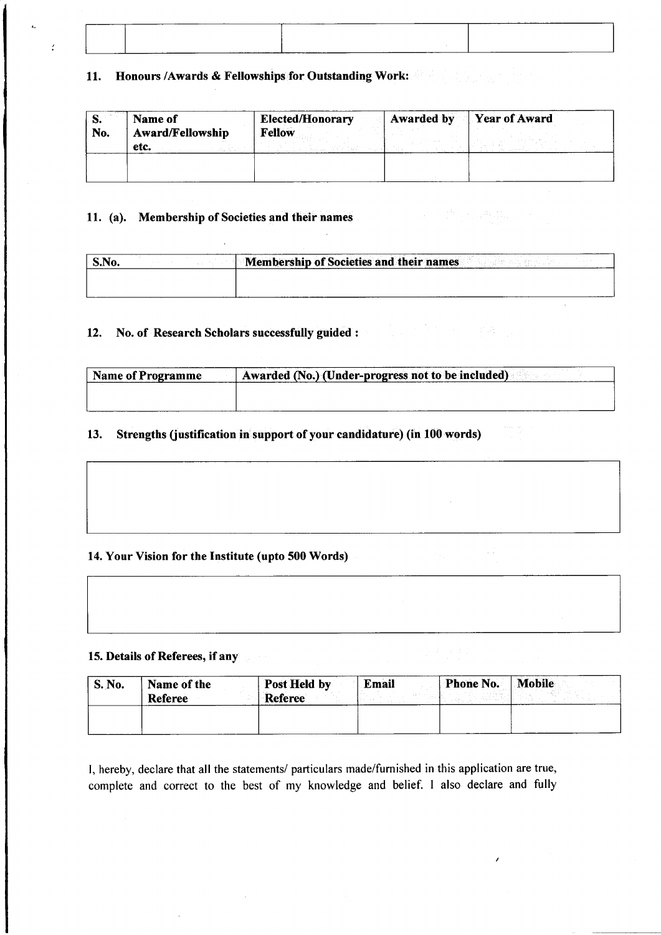| ---------<br>______ | _________ |
|---------------------|-----------|
|                     |           |
|                     |           |
|                     |           |
|                     |           |
|                     |           |
|                     |           |
|                     |           |
|                     |           |
|                     |           |
|                     |           |
| ______              |           |

### **11. Honours /Awards & Fellowships for Outstanding Work:**

| ю.<br>No. | Name of<br><b>Award/Fellowship</b><br>etc. | <b>Elected/Honorary</b><br><b>Fellow</b> | <b>Service</b> | Awarded by Year of Award |
|-----------|--------------------------------------------|------------------------------------------|----------------|--------------------------|
|           |                                            |                                          |                |                          |

### **11. (a). Membership of Societies and their names**

 $\mathcal{I}$ 

| S.No. | <b>Membership of Societies and their names</b> |
|-------|------------------------------------------------|
|       |                                                |
|       |                                                |

### **12. No. of Research Scholars successfully guided :**

| <b>Name of Programme</b> | Awarded (No.) (Under-progress not to be included) |  |  |  |
|--------------------------|---------------------------------------------------|--|--|--|
|                          |                                                   |  |  |  |
|                          |                                                   |  |  |  |

### **13. Strengths (justification in support of your candidature) (in 100 words)**

### **14. Your Vision for the Institute (upto 500 Words)**

### **15. Details of Referees, if any**

| <b>S. No.</b> | Name of the    | Post Held by | Email | <b>Phone No.</b> | Mobile |
|---------------|----------------|--------------|-------|------------------|--------|
|               | <b>Referee</b> | Referee      |       |                  |        |
|               |                |              |       |                  |        |
|               |                |              |       |                  |        |

I, hereby, declare that all the statements/ particulars made/furnished in this application are true, complete and correct to the best of my knowledge and belief. 1 also declare and fully